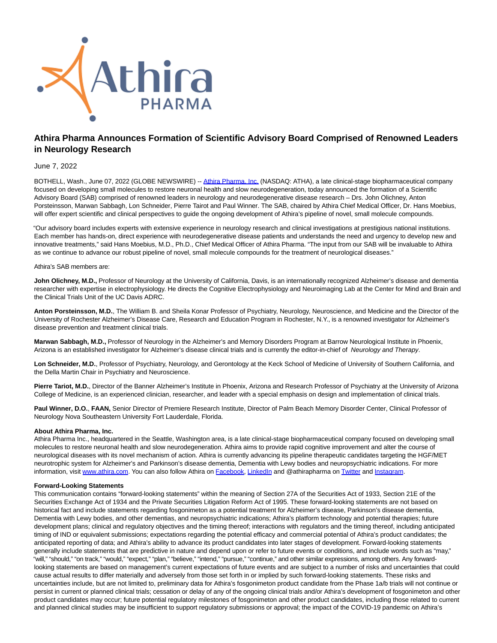

# **Athira Pharma Announces Formation of Scientific Advisory Board Comprised of Renowned Leaders in Neurology Research**

## June 7, 2022

BOTHELL, Wash., June 07, 2022 (GLOBE NEWSWIRE) -- [Athira Pharma, Inc. \(](https://www.globenewswire.com/Tracker?data=3wiIECoJFaAzc72J8GoNgjC8HLBPYRe9vWco3pNIzotD6yCmmiGh6ye2ZPBVsCeT6BlH99_OrGjjsvT9YS_wjQ==)NASDAQ: ATHA), a late clinical-stage biopharmaceutical company focused on developing small molecules to restore neuronal health and slow neurodegeneration, today announced the formation of a Scientific Advisory Board (SAB) comprised of renowned leaders in neurology and neurodegenerative disease research – Drs. John Olichney, Anton Porsteinsson, Marwan Sabbagh, Lon Schneider, Pierre Tairot and Paul Winner. The SAB, chaired by Athira Chief Medical Officer, Dr. Hans Moebius, will offer expert scientific and clinical perspectives to guide the ongoing development of Athira's pipeline of novel, small molecule compounds.

"Our advisory board includes experts with extensive experience in neurology research and clinical investigations at prestigious national institutions. Each member has hands-on, direct experience with neurodegenerative disease patients and understands the need and urgency to develop new and innovative treatments," said Hans Moebius, M.D., Ph.D., Chief Medical Officer of Athira Pharma. "The input from our SAB will be invaluable to Athira as we continue to advance our robust pipeline of novel, small molecule compounds for the treatment of neurological diseases."

### Athira's SAB members are:

John Olichney, M.D., Professor of Neurology at the University of California, Davis, is an internationally recognized Alzheimer's disease and dementia researcher with expertise in electrophysiology. He directs the Cognitive Electrophysiology and Neuroimaging Lab at the Center for Mind and Brain and the Clinical Trials Unit of the UC Davis ADRC.

Anton Porsteinsson, M.D., The William B. and Sheila Konar Professor of Psychiatry, Neurology, Neuroscience, and Medicine and the Director of the University of Rochester Alzheimer's Disease Care, Research and Education Program in Rochester, N.Y., is a renowned investigator for Alzheimer's disease prevention and treatment clinical trials.

**Marwan Sabbagh, M.D.,** Professor of Neurology in the Alzheimer's and Memory Disorders Program at Barrow Neurological Institute in Phoenix, Arizona is an established investigator for Alzheimer's disease clinical trials and is currently the editor-in-chief of Neurology and Therapy.

**Lon Schneider, M.D.**, Professor of Psychiatry, Neurology, and Gerontology at the Keck School of Medicine of University of Southern California, and the Della Martin Chair in Psychiatry and Neuroscience.

Pierre Tariot. M.D., Director of the Banner Alzheimer's Institute in Phoenix, Arizona and Research Professor of Psychiatry at the University of Arizona College of Medicine, is an experienced clinician, researcher, and leader with a special emphasis on design and implementation of clinical trials.

**Paul Winner, D.O.**, **FAAN,** Senior Director of Premiere Research Institute, Director of Palm Beach Memory Disorder Center, Clinical Professor of Neurology Nova Southeastern University Fort Lauderdale, Florida.

## **About Athira Pharma, Inc.**

Athira Pharma Inc., headquartered in the Seattle, Washington area, is a late clinical-stage biopharmaceutical company focused on developing small molecules to restore neuronal health and slow neurodegeneration. Athira aims to provide rapid cognitive improvement and alter the course of neurological diseases with its novel mechanism of action. Athira is currently advancing its pipeline therapeutic candidates targeting the HGF/MET neurotrophic system for Alzheimer's and Parkinson's disease dementia, Dementia with Lewy bodies and neuropsychiatric indications. For more information, visit [www.athira.com.](https://www.globenewswire.com/Tracker?data=iHiOrUCQ9HQsTaJOFNW4tuKBNgitoMBO91ZvzyjXVpJRsoOiC9JN6aAJGeRoZhf5kTTWfvmZdAyKPvD6sjMkyw==) You can also follow Athira on [Facebook,](https://www.globenewswire.com/Tracker?data=HJ5_SyrC0arCpPUu9hOxfUMVW1cJ1d0yxCgtg9BTPYcQTiHMc4p7278-OrGFAL6T_yLGxNhK6HI9V1FPY5bKH025DWxnZJd1jFo4BHJ2Er0=) [LinkedIn a](https://www.globenewswire.com/Tracker?data=p_MhpEEhgsckUk_glPaVaJfAfNpwsIMb241VtI-1GQb2vYQMw5F9MRXfdbTg2VgZK9un2Wuo3fS6MfAtij0dty6rR0duKz66ysqSS4o1OE4=)nd @athirapharma on [Twitter a](https://www.globenewswire.com/Tracker?data=JblYiBwiJeODD1deWGMrm8k6Cm41qHedJiwDEFlU7E-F1nYM6fRx9znrc_JmAf95kzIvik9PUO983QL5IdSMQ1gkDGVvwjg41WunlapbRgk=)nd [Instagram.](https://www.globenewswire.com/Tracker?data=_AzQ4DddzVz0khUIhQNaNESO8OsN9F3iI6UL0orNSd7CYq8DS_fj1gZt4c9f4xjW4Dbqo7CSNyaPbHMquVv8QR03GQnwu-8qfwuOOt0sREc=)

#### **Forward-Looking Statements**

This communication contains "forward-looking statements" within the meaning of Section 27A of the Securities Act of 1933, Section 21E of the Securities Exchange Act of 1934 and the Private Securities Litigation Reform Act of 1995. These forward-looking statements are not based on historical fact and include statements regarding fosgonimeton as a potential treatment for Alzheimer's disease, Parkinson's disease dementia, Dementia with Lewy bodies, and other dementias, and neuropsychiatric indications; Athira's platform technology and potential therapies; future development plans; clinical and regulatory objectives and the timing thereof; interactions with regulators and the timing thereof, including anticipated timing of IND or equivalent submissions; expectations regarding the potential efficacy and commercial potential of Athira's product candidates; the anticipated reporting of data; and Athira's ability to advance its product candidates into later stages of development. Forward-looking statements generally include statements that are predictive in nature and depend upon or refer to future events or conditions, and include words such as "may," "will," "should," "on track," "would," "expect," "plan," "believe," "intend," "pursue," "continue," and other similar expressions, among others. Any forwardlooking statements are based on management's current expectations of future events and are subject to a number of risks and uncertainties that could cause actual results to differ materially and adversely from those set forth in or implied by such forward-looking statements. These risks and uncertainties include, but are not limited to, preliminary data for Athira's fosgonimeton product candidate from the Phase 1a/b trials will not continue or persist in current or planned clinical trials; cessation or delay of any of the ongoing clinical trials and/or Athira's development of fosgonimeton and other product candidates may occur; future potential regulatory milestones of fosgonimeton and other product candidates, including those related to current and planned clinical studies may be insufficient to support regulatory submissions or approval; the impact of the COVID-19 pandemic on Athira's